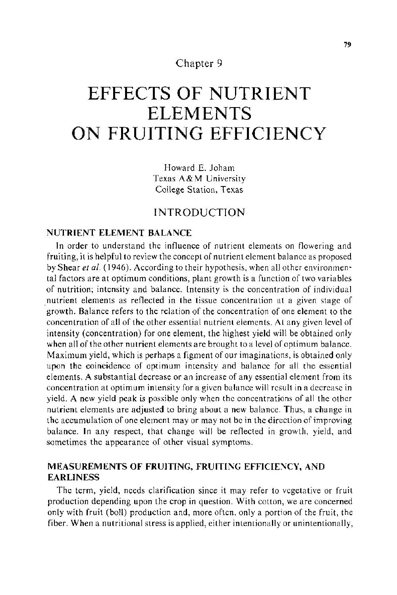# Chapter 9

# **EFFECTS OF NUTRIENT ELEMENTS ON FRUITING EFFICIENCY**

Howard E. Joham Texas A&M University College Station, Texas

# INTRODUCTION

# NUTRIENT ELEMENT BALANCE

In order to understand the influence of nutrient elements on flowering and fruiting, it is helpful to review the concept of nutrient element balance as proposed by Shear et al. (1946). According to their hypothesis, when all other environmental factors are at optimum conditions, plant growth is a function of two variables of nutrition; intensity and balance. Intensity is the concentration of individual nutrient elements as reflected in the tissue concentration at a given stage of growth. Balance refers to the relation of the concentration of one element to the concentration of all of the other essential nutrient elements. At any given level of intensity (concentration) for one element, the highest yield will be obtained only when all of the other nutrient elements are brought to a level of optimum balance. Maximum yield, which is perhaps a figment of our imaginations, is obtained only upon the coincidence of optimum intensity and balance for all the essential elements. A substantial decrease or an increase of any essential element from its concentration at optimum intensity for a given balance will result in a decrease in yield. A new yield peak is possible only when the concentrations of all the other nutrient elements are adjusted to bring about a new balance. Thus, a change in the accumulation of one element may or may not be in the direction of improving balance. In any respect, that change will be reflected in growth, yield, and sometimes the appearance of other visual symptoms.

### MEASUREMENTS OF FRUITING, FRUITING EFFICIENCY, AND **EARLINESS**

The term, yield, needs clarification since it may refer to vegetative or fruit production depending upon the crop in question. With cotton, we are concerned only with fruit (boll) production and, more often. only a portion of the fruit, the fiber. When a nutritional stress is applied, either intentionally or unintentionally,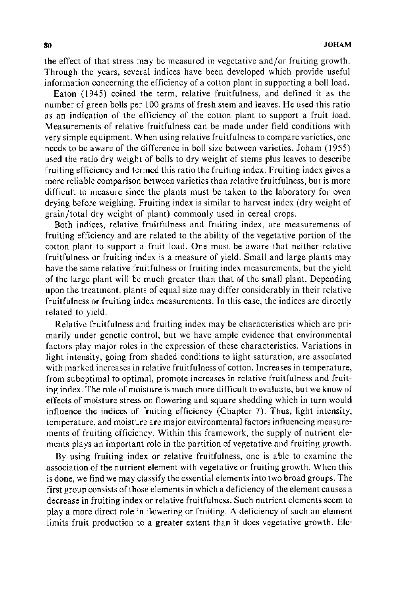the effect of that stress may be measured in vegetative and/or fruiting growth. Through the years, several indices have been developed which provide useful information concerning the efficiency of a cotton plant in supporting a boll load.

Eaton (1945) coined the term, relative fruitfulness, and defined it as the number of green bolls per 100 grams of fresh stem and leaves. He used this ratio as an indication of the efficiency of the cotton plant to support a fruit load. Measurements of relative fruitfulness can be made under field conditions with very simple equipment. When using relative fruitfulness to compare varieties, one needs to be aware of the difference in boll size between varieties. Joham (1955) used the ratio dry weight of bolls to dry weight of stems plus leaves to describe fruiting efficiency and termed this ratio the fruiting index. Fruiting index gives a more reliable comparison between varieties than relative fruitfulness, but is more difficult to measure since the plants must be taken to the laboratory for oven drying before weighing. Fruiting index is similar to harvest index (dry weight of grain/total dry weight of plant) commonly used in cereal crops.

Both indices, relative fruitfulness and fruiting index, are measurements of fruiting efficiency and are related to the ability of the vegetative portion of the cotton plant to support a fruit load. One must be aware that neither relative fruitfulness or fruiting index is a measure of yield. Small and large plants may have the same relative fruitfulness or fruiting index measurements, but the yield of the large plant will be much greater than that of the small plant. Depending upon the treatment, plants of equal size may differ considerably in their relative fruitfulness or fruiting index measurements. In this case, the indices are directly related to yield.

Relative fruitfulness and fruiting index may be characteristics which are primarily under genetic control, but we have ample evidence that environmental factors play major roles in the expression of these characteristics. Variations in light intensity, going from shaded conditions to light saturation, are associated with marked increases in relative fruitfulness of cotton. Increases in temperature, from suboptimal to optimal, promote increases in relative fruitfulness and fruiting index. The role of moisture is much more difficult to evaluate, but we know of effects of moisture stress on flowering and square shedding which in turn would influence the indices of fruiting efficiency (Chapter 7). Thus, light intensity, temperature, and moisture are major environmental factors influencing measurements of fruiting efficiency. Within this framework, the supply of nutrient elements plays an important role in the partition of vegetative and fruiting growth.

By using fruiting index or relative fruitfulness, one is able to examine the association of the nutrient element with vegetative or fruiting growth. When this is done, we find we may classify the essential elements into two broad groups. The first group consists of those elements in which a deficiency of the element causes a decrease in fruiting index or relative fruitfulness. Such nutrient elements seem to play a more direct role in flowering or fruiting. A deficiency of such an element limits fruit production to a greater extent than it does vegetative growth. Ele-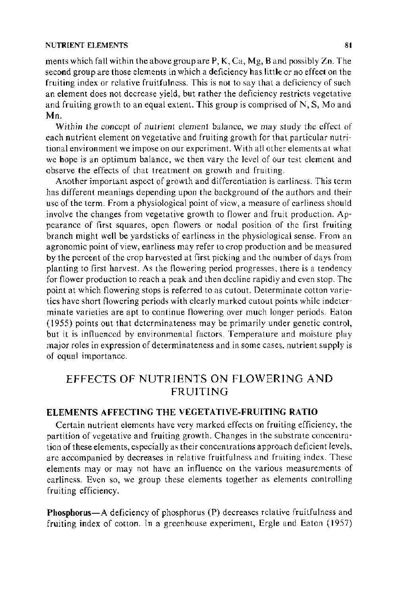### NUTRIENT ELEMENTS 81

ments which fall within the above group are P, K, Ca, Mg, Band possibly Zn. The second group are those elements in which a deficiency has little or no effect on the fruiting index or relative fruitfulness. This is not to say that a deficiency of such an element does not decrease yield, but rather the deficiency restricts vegetative and fruiting growth to an equal extent. This group is comprised of N, S, Mo and Mn.

Within the concept of nutrient element balance, we may study the effect of each nutrient element on vegetative and fruiting growth for that particular nutritional environment we impose on our experiment. With all other elements at what we hope is an optimum balance, we then vary the level of our test element and observe the effects of that treatment on growth and fruiting.

Another important aspect of growth and differentiation is earliness. This term has different meanings depending upon the background of the authors and their use of the term. From a physiological point of view, a measure of earliness should involve the changes from vegetative growth to flower and fruit production. Appearance of first squares, open flowers or nodal position of the first fruiting branch might well be yardsticks of earliness in the physiological sense. From an agronomic point of view, earliness may refer to crop production and be measured by the percent of the crop harvested at first picking and the number of days from planting to first harvest. As the flowering period progresses, there is a tendency for flower production to reach a peak and then decline rapidly and even stop. The point at which flowering stops is referred to as cutout. Determinate cotton varieties have short flowering periods with clearly marked cutout points while indeterminate varieties are apt to continue flowering over much longer periods. Eaton (1955) points out that determinateness may be primarily under genetic control, but it is influenced by environmental factors. Temperature and moisture play major roles in expression of determinateness and in some cases, nutrient supply is of equal importance.

# EFFECTS OF NUTRIENTS ON FLOWERING AND FRUITING

### ELEMENTS AFFECTING THE VEGETATIVE-FRUITING RATIO

Certain nutrient elements have very marked effects on fruiting efficiency, the partition of vegetative and fruiting growth. Changes in the substrate concentration of these elements, especially as their concentrations approach deficient levels, are accompanied by decreases in relative fruitfulness and fruiting index. These elements may or may not have an influence on the various measurements of earliness. Even so, we group these elements together as elements controlling fruiting efficiency.

Phosphorus-A deficiency of phosphorus (P) decreases relative fruitfulness and fruiting index of cotton. In a greenhouse experiment, Ergle and Eaton ( 1957)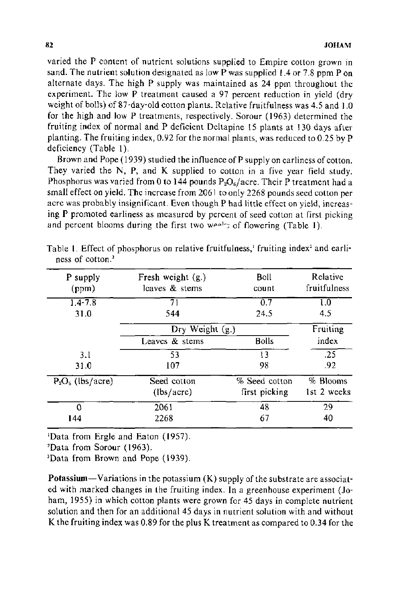varied the P content of nutrient solutions supplied to Empire cotton grown in sand. The nutrient solution designated as low P was supplied I .4 or 7.8 ppm P on alternate days. The high P supply was maintained as 24 ppm throughout the experiment. The low P treatment caused a 97 percent reduction in yield (dry weight of bolls) of 87-day-old cotton plants. Relative fruitfulness was 4.5 and 1.0 for the high and low P treatments, respectively. Sorour (1963) determined the fruiting index of normal and P deficient Deltapine 15 plants at 130 days after planting. The fruiting index, 0.92 for the normal plants, was reduced to 0.25 by P deficiency (Table 1).

Brown and Pope ( 1939) studied the influence of P supply on earliness of cotton. They varied the N, P, and K supplied to cotton in a five year field study. Phosphorus was varied from 0 to 144 pounds  $P_2O_5/a$  cre. Their P treatment had a small effect on yield. The increase from 2061 to only 2268 pounds seed cotton per acre was probably insignificant. Even though P had little effect on yield, increasing P promoted earliness as measured by percent of seed cotton at first picking and percent blooms during the first two weeks of flowering (Table 1).

| P supply<br>(ppm)   | Fresh weight $(g.)$<br>leaves & stems |               | Relative<br>fruitfulness |
|---------------------|---------------------------------------|---------------|--------------------------|
| $14 - 7.8$          | 71                                    | 0.7           | 1.0                      |
| 31.0                | 544                                   | 24.5          | 4.5                      |
|                     | $\overline{Dr}$ y Weight (g.)         |               | Fruiting                 |
|                     | Leaves & stems                        | <b>Bolls</b>  | index                    |
| 3.1                 | 53                                    | 13            | .25                      |
| 31.0                | 107                                   | 98            | .92                      |
| $P_2O_5$ (lbs/acre) | Seed cotton                           | % Seed cotton | % Blooms                 |
|                     | (lbs/acre)                            | first picking | 1st 2 weeks              |
| 0                   | 2061                                  | 48            | 29                       |
| 144                 | 2268                                  | 67            | 40                       |

Table 1. Effect of phosphorus on relative fruitfulness, fruiting index<sup>2</sup> and earliness of cotton.3

<sup>1</sup>Data from Ergle and Eaton (1957).

Data from Sorour (1963).

'Data from Brown and Pope (1939).

**Potassium**—Variations in the potassium  $(K)$  supply of the substrate are associated with marked changes in the fruiting index. In a greenhouse experiment (Joham, 1955) in which cotton plants were grown for 45 days in complete nutrient solution and then for an additional 45 days in nutrient solution with and without K the fruiting index was 0.89 for the plus K treatment as compared to 0.34 for the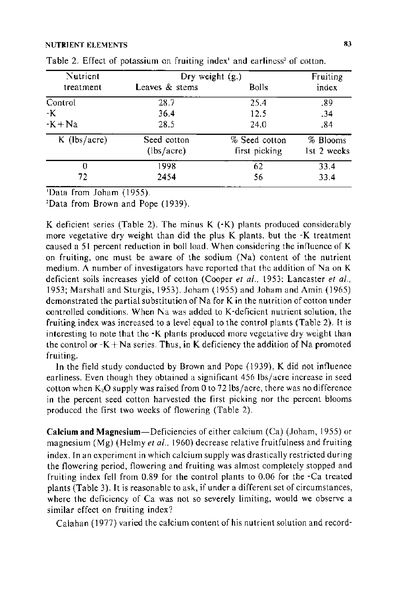#### NUTRIENT ELEMENTS 83

| Nutrient       | Dry weight $(g.)$ | Fruiting      |             |
|----------------|-------------------|---------------|-------------|
| treatment      | Leaves & stems    | Bolls         | index       |
| Control        | 28.7              | 25.4          | -89         |
| -К             | 36.4              | 12.5          | -34         |
| $-K + Na$      | 28.5              | 24.0          | .84         |
| $K$ (lbs/acre) | Seed cotton       | % Seed cotton | % Blooms    |
|                | (lbs/acre)        | first picking | 1st 2 weeks |
| 0              | 1998              | 62            | 33.4        |
| 72             | 2454              | 56            | 33.4        |

| Table 2. Effect of potassium on fruiting index' and earliness <sup>2</sup> of cotton. |  |  |  |  |  |  |  |
|---------------------------------------------------------------------------------------|--|--|--|--|--|--|--|
|---------------------------------------------------------------------------------------|--|--|--|--|--|--|--|

'Data from Joham (1955).

Data from Brown and Pope (1939).

K deficient series (Table 2). The minus K (-K) plants produced considerably more vegetative dry weight than did the plus K plants, but the -K treatment caused a 51 percent reduction in boll load. When considering the influence of K on fruiting, one must be aware of the sodium (Na) content of the nutrient medium. A number of investigators have reported that the addition of Na on K deficient soils increases yield of cotton (Cooper *et a/.,* 1953: Lancaster *et al ..*  1953; Marshall and Sturgis, 1953). Joham (1955) and Joham and Amin (1965) demonstrated the partial substitution of Na for K in the nutrition of cotton under controlled conditions. When Na was added to K-deficient nutrient solution, the fruiting index was increased to a level equal to the control plants (Table 2). It is interesting to note that the -K plants produced more vegetative dry weight than the control or  $-K + Na$  series. Thus, in K deficiency the addition of Na promoted fruiting.

In the field study conducted by Brown and Pope (1939), K did not influence earliness. Even though they obtained a significant  $456$  lbs/acre increase in seed cotton when  $K_2O$  supply was raised from 0 to 72 lbs/acre, there was no difference in the percent seed cotton harvested the first picking nor the percent blooms produced the first two weeks of flowering (Table 2).

**Calcium and** Magnesium-Deficiencies of either calcium (Ca) (Joham, 1955) or magnesium (Mg) (Helmy *et al.*, 1960) decrease relative fruitfulness and fruiting index. In an experiment in which calcium supply was drastically restricted during the flowering period, flowering and fruiting was almost completely stopped and fruiting index fell from 0.89 for the control plants to 0.06 for the -Ca treated plants (Table 3). It is reasonable to ask, if under a different set of circumstances, where the deficiency of Ca was not so severely limiting, would we observe a similar effect on fruiting index?

Calahan ( 1977) varied the calcium content of his nutrient solution and record-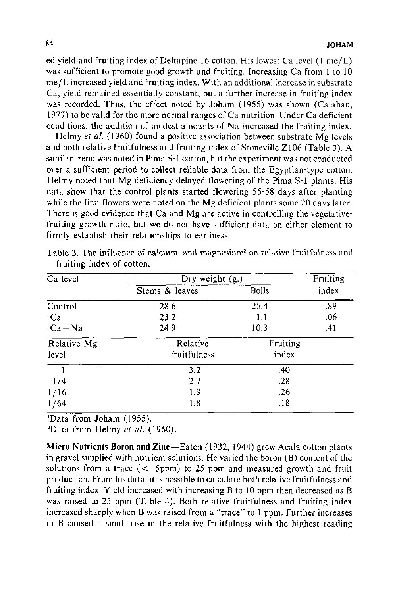ed yield and fruiting index of Deltapine 16 cotton. His lowest Ca level (1 me/L) was sufficient to promote good growth and fruiting. Increasing Ca from 1 to 10  $me/L$  increased yield and fruiting index. With an additional increase in substrate Ca, yield remained essentially constant, but a further increase in fruiting index was recorded. Thus, the effect noted by Joham (1955) was shown (Calahan, 1977) to be valid for the more normal ranges of Ca nutrition. Under Ca deficient conditions, the addition of modest amounts of Na increased the fruiting index.

Helmy *et al.* (1960) found a positive association between substrate Mg levels and both relative fruitfulness and fruiting index of Stoneville Z106 (Table 3). A similar trend was noted in Pima S-1 cotton, but the experiment was not conducted over a sufficient period to collect reliable data from the Egyptian-type cotton. Helmy noted that Mg deficiency delayed flowering of the Pima S-1 plants. His data show that the control plants started flowering 55-58 days after planting while the first flowers were noted on the Mg deficient plants some 20 days later. There is good evidence that Ca and Mg are active in controlling the vegetativefruiting growth ratio, but we do not have sufficient data on either element to firmly establish their relationships to earliness.

| Ca level             | Dry weight (g.)          | Fruiting          |       |  |
|----------------------|--------------------------|-------------------|-------|--|
|                      | Stems & leaves           | <b>Bolls</b>      | index |  |
| Control              | $\overline{28.6}$        | 25.4              | .89   |  |
| -Ca                  | 23.2                     | 1.1               | .06   |  |
| $-Ca + Na$           | 24.9                     | 10.3              | .41   |  |
| Relative Mg<br>level | Relative<br>fruitfulness | Fruiting<br>index |       |  |
|                      | 3.2                      | .40               |       |  |
| 1/4                  | 2.7                      | .28               |       |  |
| 1/16                 | 1.9                      | .26               |       |  |
| 1/64                 | 1.8                      | .18               |       |  |

Table 3. The influence of calcium' and magnesium<sup>2</sup> on relative fruitfulness and fruiting index of cotton.

1 Data from Joham (1955).

<sup>2</sup>Data from Helmy *et al.* (1960).

Micro Nutrients Boron and Zinc-Eaton (1932, 1944) grew Acala cotton plants in gravel supplied with nutrient solutions. He varied the boron (B) content of the solutions from a trace  $(<$  .5ppm) to 25 ppm and measured growth and fruit production. From his data, it is possible to calculate both relative fruitfulness and fruiting index. Yield increased with increasing B to 10 ppm then decreased as B was raised to 25 ppm (Table 4). Both relative fruitfulness and fruiting index increased sharply when B was raised from a "trace" to 1 ppm. Further increases in B caused a small rise in the relative fruitfulness with the highest reading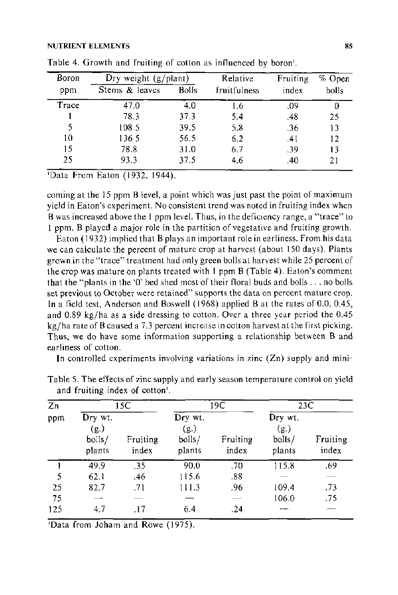#### NUTRIENT ELEMENTS 85

| Boron | $Dry$ weight $(g/plant)$ |              | Relative     | Fruiting | % Open |
|-------|--------------------------|--------------|--------------|----------|--------|
| ppm   | Stems & leaves           | <b>Bolls</b> | fruitfulness | index    | bolls  |
| Trace | 47.0                     | 4.0          | 1.6          | .09      |        |
|       | 78.3                     | 373          | 5.4          | .48      | 25     |
| 5     | 108.5                    | 39.5         | 5.8          | .36      | 13     |
| 10    | 136.5                    | 56.5         | 6.2          | .41      | 12     |
| 15    | 78.8                     | 31.0         | 6.7          | .39      | 13     |
| 25    | 93.3                     | 37.5         | 4.6          | .40      | 21     |

| Table 4. Growth and fruiting of cotton as influenced by boron'. |  |  |  |  |
|-----------------------------------------------------------------|--|--|--|--|
|-----------------------------------------------------------------|--|--|--|--|

'Data From Eaton (1932, 1944).

coming at the 15 ppm B level, a point which was just past the point of maximum yield in Eaton's experiment. No consistent trend was noted in fruiting index when B was increased above the I ppm level. Thus, in the deficiency range, a "trace" to I ppm, B played a major role in the partition of vegetative and fruiting growth.

Eaton ( 1932) implied that B plays an important role in earliness. From his data we can calculate the percent of mature crop at harvest (about 150 days). Plants grown in the "trace" treatment had only green bolls at harvest while 25 percent of the crop was mature on plants treated with I ppm B (Table 4). Eaton's comment that the "plants in the '0' bed shed most of their floral buds and bolls ... no bolls set previous to October were retained" supports the data on percent mature crop. In a field test, Anderson and Boswell (1968) applied Bat the rates of 0.0, 0.45, and 0.89 kg/ha as a side dressing to cotton. Over a three year period the 0.45 kg/ha rate of B caused a 7.3 percent increase in cotton harvest at the first picking. Thus, we do have some information supporting a relationship between B and earliness of cotton.

In controlled experiments involving variations in zinc  $(Zn)$  supply and mini-

| Zп  |                                     | 15C                      |                                     | 19C                      |                                     | 23C               |  |
|-----|-------------------------------------|--------------------------|-------------------------------------|--------------------------|-------------------------------------|-------------------|--|
| ppm | Dry wt.<br>(g.)<br>bolls/<br>plants | Fruiting<br>index        | Dry wt.<br>(g.)<br>bolls/<br>plants | Fruiting<br>index        | Dry wt.<br>(g.)<br>bolls/<br>plants | Fruiting<br>index |  |
|     | 49.9                                | .35                      | 90.0                                | .70                      | 115.8                               | .69               |  |
| 5   | 62.1                                | .46                      | 115.6                               | .88                      |                                     |                   |  |
| 25  | 82.7                                | .71                      | 111.3                               | .96                      | 109.4                               | .73               |  |
| 75  |                                     | $\overline{\phantom{0}}$ |                                     | $\overline{\phantom{a}}$ | 106.0                               | .75               |  |
| 125 | 47                                  | .17                      | 6.4                                 | .24                      |                                     |                   |  |

Table 5. The effects of zinc supply and early season temperature control on yield and fruiting index of cotton'.

'Data from Joham and Rowe (1975).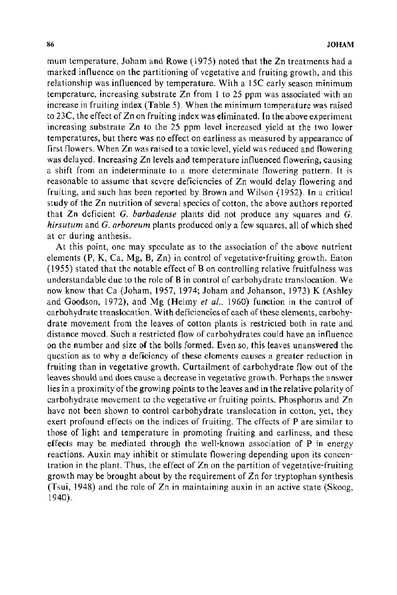mum temperature, Joham and Rowe (1975) noted that the Zn treatments had a marked influence on the partitioning of vegetative and fruiting growth, and this relationship was influenced by temperature. With a 15C early season minimum temperature, increasing substrate Zn from 1 to 25 ppm was associated with an increase in fruiting index (Table 5). When the minimum temperature was raised to 23C, the effect of Zn on fruiting index was eliminated. In the above experiment increasing substrate Zn to the 25 ppm level increased yield at the two lower temperatures, but there was no effect on earliness as measured by appearance of first flowers. When Zn was raised to a toxic level, yield was reduced and flowering was delayed. Increasing Zn levels and temperature influenced flowering, causing a shift from an indeterminate to a more determinate flowering pattern. It is reasonable to assume that severe deficiencies of Zn would delay flowering and fruiting, and such has been reported by Brown and Wilson (1952). In a critical study of the Zn nutrition of several species of cotton, the above authors reported that Zn deficient *G. barbadense* plants did not produce any squares and *G. hirsutum* and *G. arboreum* plants produced only a few squares, all of which shed at or during anthesis.

At this point, one may speculate as to the association of the above nutrient elements (P, K, Ca, Mg, B, Zn) in control of vegetative-fruiting growth. Eaton ( 1955) stated that the notable effect of Bon controlling relative fruitfulness was understandable due to the role of Bin control of carbohydrate translocation. We now know that Ca (Joham, 1957, 1974; Joham and Johanson, 1973) K (Ashley and Goodson, 1972), and Mg (Helmy *et a!.,* 1960) function in the control of carbohydrate translocation. With deficiencies of each of these elements, carbohydrate movement from the leaves of cotton plants is restricted both in rate and distance moved. Such a restricted flow of carbohydrates could have an influence on the number and size of the bolls formed. Even so, this leaves unanswered the question as to why a deficiency of these elements causes a greater reduction in fruiting than in vegetative growth. Curtailment of carbohydrate flow out of the leaves should and does cause a decrease in vegetative growth. Perhaps the answer lies in a proximity of the growing points to the leaves and in the relative polarity of carbohydrate movement to the vegetative or fruiting points. Phosphorus and Zn have not been shown to control carbohydrate translocation in cotton, yet, they exert profound effects on the indices of fruiting. The effects of P are similar to those of light and temperature in promoting fruiting and earliness, and these effects may be mediated through the well-known association of P in energy reactions. Auxin may inhibit or stimulate flowering depending upon its concentration in the plant. Thus, the effect of Zn on the partition of vegetative-fruiting growth may be brought about by the requirement of Zn for tryptophan synthesis (Tsui, 1948) and the role of Zn in maintaining auxin in an active state (Skoog, 1940).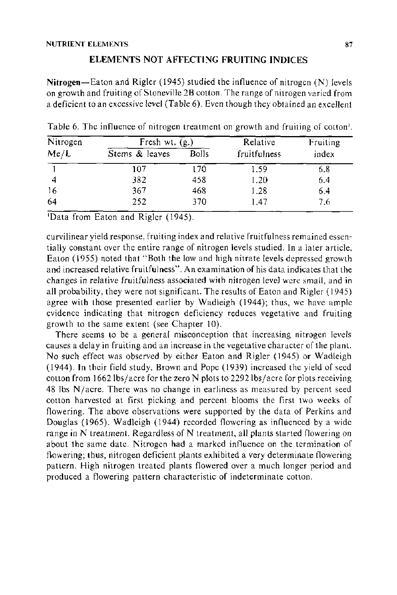# ELEMENTS NOT AFFECTING FRUITING INDICES

Nitrogen-Eaton and Rigler (1945) studied the influence of nitrogen  $(N)$  levels on growth and fruiting of Stoneville 2B cotton. The range of nitrogen varied from a deficient to an excessive level (Table 6). Even though they obtained an excellent

| Nitrogen |                | Fresh wt. $(g.)$ |              | Fruiting |
|----------|----------------|------------------|--------------|----------|
| Me/L     | Stems & leaves | Bolls            | fruitfulness | index    |
|          | 107            | 170              | 1.59         | 6.8      |
|          | 382            | 458              | 1.20         | 6.4      |
| -16      | 367            | 468              | 1.28         | 6.4      |
| 64       | 252            | 370              | 1.47         | 7.6      |

Table 6. The influence of nitrogen treatment on growth and fruiting of cotton'.

'Data from Eaton and Rigler (1945).

curvilinear yield response, fruiting index and relative fruitfulness remained essentially constant over the entire range of nitrogen levels studied. In a later article, Eaton ( 1955) noted that "Both the low and high nitrate levels depressed growth and increased relative fruitfulness". An examination of his data indicates that the changes in relative fruitfulness associated with nitrogen level were small, and in all probability, they were not significant. The results of Eaton and Rigler ( 1945) agree with those presented earlier by Wadleigh ( 1944); thus, we have ample evidence indicating that nitrogen deficiency reduces vegetative and fruiting growth to the same extent (see Chapter 10).

There seems to be a general misconception that increasing nitrogen levels causes a delay in fruiting and an increase in the vegetative character of the plant. No such effect was observed by either Eaton and Rigler ( 1945) or Wadleigh (I 944 ). In their field study, Brown and Pope ( 1939) increased the yield of seed cotton from  $1662$  lbs/acre for the zero N plots to 2292 lbs/acre for plots receiving  $48$  lbs  $N/a$  cre. There was no change in earliness as measured by percent seed cotton harvested at first picking and percent blooms the first two weeks of flowering. The above observations were supported by the data of Perkins and Douglas {1965). Wadleigh (1944) recorded flowering as influenced by a wide range in N treatment. Regardless of N treatment, all plants started flowering on about the same date. Nitrogen had a marked influence on the termination of flowering; thus, nitrogen deficient plants exhibited a very determinate flowering pattern. High nitrogen treated plants flowered over a much longer period and produced a flowering pattern characteristic of indeterminate cotton.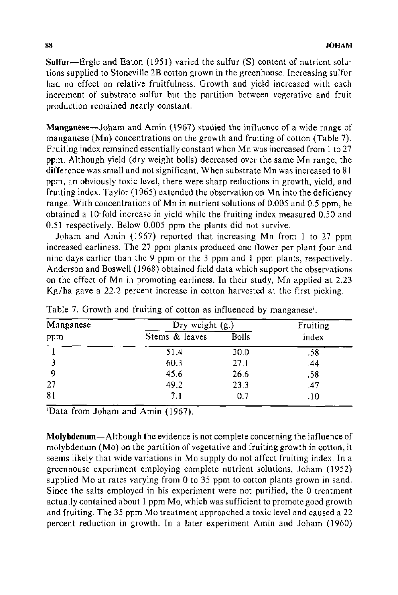**Sulfur-**Ergle and Eaton (1951) varied the sulfur (S) content of nutrient solutions supplied to Stoneville 2B cotton grown in the greenhouse. Increasing sulfur had no effect on relative fruitfulness. Growth and yield increased with each increment of substrate sulfur but the partition between vegetative and fruit production remained nearly constant.

Manganese-Joham and Amin (1967) studied the influence of a wide range of manganese (Mn) concentrations on the growth and fruiting of cotton (Table 7). Fruiting index remained essentially constant when Mn was increased from 1 to 27 ppm. Although yield (dry weight bolls) decreased over the same Mn range, the difference was small and not significant. When substrate Mn was increased to 81 ppm, an obviously toxic level, there were sharp reductions in growth, yield, and fruiting index. Taylor ( 1965) extended the observation on Mn into the deficiency range. With concentrations of Mn in nutrient solutions of 0.005 and 0.5 ppm, he obtained a 10-fold increase in yield while the fruiting index measured 0.50 and 0.51 respectively. Below 0.005 ppm the plants did not survive.

Joham and Amin (1967) reported that increasing Mn from 1 to 27 ppm increased earliness. The 27 ppm plants produced one flower per plant four and nine days earlier than the 9 ppm or the 3 ppm and 1 ppm plants, respectively. Anderson and Boswell ( 1968) obtained field data which support the observations on the effect of Mn in promoting earliness. In their study, Mn applied at 2.23 Kg/ha gave a 22.2 percent increase in cotton harvested at the first picking.

| Manganese | Dry weight (g.) | Fruiting     |       |  |
|-----------|-----------------|--------------|-------|--|
| ppm       | Stems & leaves  | <b>Bolls</b> | index |  |
|           | 51.4            | 30.0         | .58   |  |
|           | 60.3            | 27.1         | .44   |  |
| 9         | 45.6            | 26.6         | .58   |  |
| 27        | 49.2            | 23.3         | .47   |  |
| 81        | 7.1             | 0,7          | .10   |  |

Table 7. Growth and fruiting of cotton as influenced by manganese<sup>1</sup>.

1 Data from Joham and Amin (1967).

Molybdenum-Although the evidence is not complete concerning the influence of molybdenum (Mo) on the partition of vegetative and fruiting growth in cotton, it seems likely that wide variations in Mo supply do not affect fruiting index. In a greenhouse experiment employing complete nutrient solutions, Joham (1952) supplied Mo at rates varying from 0 to 35 ppm to cotton plants grown in sand. Since the salts employed in his experiment were not purified, the 0 treatment actually contained about 1 ppm Mo, which was sufficient to promote good growth and fruiting. The 35 ppm Mo treatment approached a toxic level and caused a 22 percent reduction in growth. In a later experiment Amin and Joham (1960)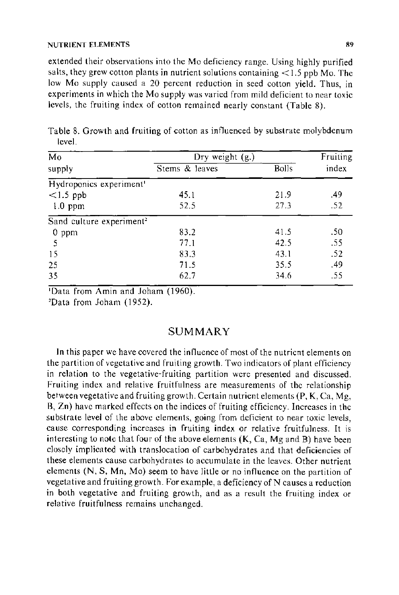extended their observations into the Mo deficiency range. Using highly purified salts, they grew cotton plants in nutrient solutions containing  $\langle 1.5 \text{ pbb} \rangle$  Mo. The low Mo supply caused a 20 percent reduction in seed cotton yield. Thus, in experiments in which the Mo supply was varied from mild deficient to near toxic levels, the fruiting index of cotton remained neariy constant (Table 8).

| Mo                                   | Dry weight (g.) |              | Fruiting |
|--------------------------------------|-----------------|--------------|----------|
| supply                               | Stems & leaves  | <b>Bolls</b> | index    |
| Hydroponics experiment <sup>1</sup>  |                 |              |          |
| $<1.5$ ppb                           | 45.1            | 21.9         | .49      |
| $1.0$ ppm                            | 52.5            | 27.3         | $-52$    |
| Sand culture experiment <sup>2</sup> |                 |              |          |
| $0$ ppm                              | 83.2            | 41.5         | .50      |
| -5                                   | 77.1            | 42.5         | -55      |
| 15                                   | 83.3            | 43.1         | .52      |
| 25                                   | 71.5            | 35.5         | .49      |
| 35                                   | 62.7            | 34.6         | .55      |

Table 8. Growth and fruiting of cotton as influenced by substrate molybdenum level.

'Data from Amin and Joham (1960).

'Data from Joham (1952).

# SUMMARY

In this paper we have covered the influence of most of the nutrient elements on the partition of vegetative and fruiting growth. Two indicators of plant efficiency in relation to the vegetative-fruiting partition were presented and discussed. Fruiting index and relative fruitfulness are measurements of the relationship between vegetative and fruiting growth. Certain nutrient elements (P, K, Ca, Mg, B, Zn) have marked effects on the indices of fruiting efficiency. Increases in the substrate level of the above elements, going from deficient to near toxic levels, cause corresponding increases in fruiting index or relative fruitfulness. It is interesting to note that four of the above elements  $(K, Ca, Mg, and B)$  have been closely implicated with translocation of carbohydrates and that deficiencies of these elements cause carbohydrates to accumulate in the leaves. Other nutrient elements (N, S, Mn, Mo) seem to have little or no influence on the partition of vegetative and fruiting growth. For example, a deficiency of N causes a reduction in both vegetative and fruiting growth, and as a result the fruiting index or relative fruitfulness remains unchanged.